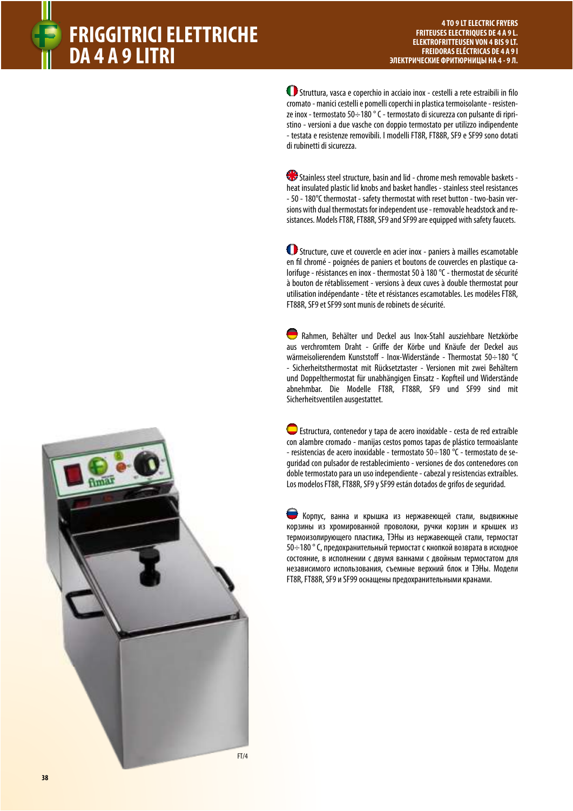

 $\bf O$  Struttura, vasca e coperchio in acciaio inox - cestelli a rete estraibili in filo cromato - manici cestelli e pomelli coperchi in plastica termoisolante - resistenze inox - termostato 50÷180 ° C - termostato di sicurezza con pulsante di ripristino - versioni a due vasche con doppio termostato per utilizzo indipendente - testata e resistenze removibili. I modelli FT8R, FT88R, SF9 e SF99 sono dotati di rubinetti di sicurezza.

Stainless steel structure, basin and lid - chrome mesh removable baskets heat insulated plastic lid knobs and basket handles - stainless steel resistances - 50 - 180°C thermostat - safety thermostat with reset button - two-basin versions with dual thermostats for independent use - removable headstock and resistances. Models FT8R, FT88R, SF9 and SF99 are equipped with safety faucets.

 Structure, cuve et couvercle en acier inox - paniers à mailles escamotable en fil chromé - poignées de paniers et boutons de couvercles en plastique calorifuge - résistances en inox - thermostat 50 à 180 °C - thermostat de sécurité à bouton de rétablissement - versions à deux cuves à double thermostat pour utilisation indépendante - tête et résistances escamotables. Les modèles FT8R, FT88R, SF9 et SF99 sont munis de robinets de sécurité.

 Rahmen, Behälter und Deckel aus Inox-Stahl ausziehbare Netzkörbe aus verchromtem Draht - Griffe der Körbe und Knäufe der Deckel aus wärmeisolierendem Kunststoff - Inox-Widerstände - Thermostat 50÷180 °C - Sicherheitsthermostat mit Rücksetztaster - Versionen mit zwei Behältern und Doppelthermostat für unabhängigen Einsatz - Kopfteil und Widerstände abnehmbar. Die Modelle FT8R, FT88R, SF9 und SF99 sind mit Sicherheitsventilen ausgestattet.

 Estructura, contenedor y tapa de acero inoxidable - cesta de red extraíble con alambre cromado - manijas cestos pomos tapas de plástico termoaislante - resistencias de acero inoxidable - termostato 50÷180 °C - termostato de seguridad con pulsador de restablecimiento - versiones de dos contenedores con doble termostato para un uso independiente - cabezal y resistencias extraíbles. Los modelos FT8R, FT88R, SF9 y SF99 están dotados de grifos de seguridad.

 Корпус, ванна и крышка из нержавеющей стали, выдвижные корзины из хромированной проволоки, ручки корзин и крышек из термоизолирующего пластика, ТЭНы из нержавеющей стали, термостат 50÷180 ° C, предохранительный термостат с кнопкой возврата в исходное состояние, в исполнении с двумя ваннами с двойным термостатом для независимого использования, съемные верхний блок и ТЭНы. Модели FT8R, FT88R, SF9 и SF99 оснащены предохранительными кранами.



**38**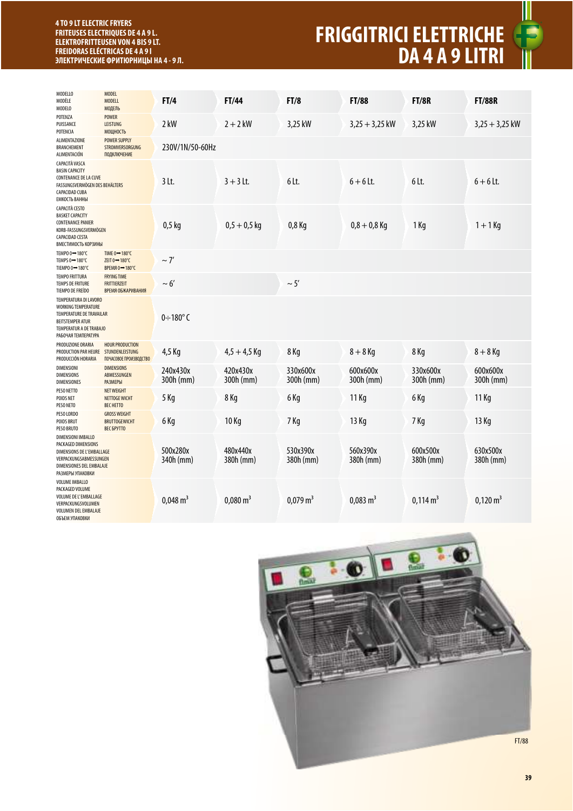## **4 TO 9 LT ELECTRIC FRYERS FRITEUSES ELECTRIQUES DE 4 A 9 L. ELEKTROFRITTEUSEN VON 4 BIS 9 LT. FREIDORAS ELÉCTRICAS DE 4 A 9 l ЭЛЕКТРИЧЕСКИЕ ФРИТЮРНИЦЫ НА 4 - 9 Л.**

## **FRIGGITRICI ELETTRICHE DA 4 A 9 LITRI**



| <b>MODELLO</b><br>MODÈLE<br>MODELO                                                                                                                                  | <b>MODEL</b><br><b>MODELL</b><br>МОДЕЛЬ                                                          | FI/4                  | FT/44                 | FT/8                  | <b>FT/88</b>          | <b>FT/8R</b>          | <b>FT/88R</b>         |
|---------------------------------------------------------------------------------------------------------------------------------------------------------------------|--------------------------------------------------------------------------------------------------|-----------------------|-----------------------|-----------------------|-----------------------|-----------------------|-----------------------|
| POTENZA<br>PUISSANCE<br>POTENCIA                                                                                                                                    | <b>POWER</b><br><b>LEISTUNG</b><br>МОЩНОСТЬ                                                      | 2 kW                  | $2 + 2$ kW            | 3,25 kW               | $3,25 + 3,25$ kW      | 3,25 kW               | $3,25 + 3,25$ kW      |
| ALIMENTAZIONE<br>BRANCHEMENT<br>ALIMENTACIÓN                                                                                                                        | <b>POWER SUPPLY</b><br>STROMVERSORGUNG<br>ПОДКЛЮЧЕНИЕ                                            | 230V/1N/50-60Hz       |                       |                       |                       |                       |                       |
| CAPACITÀ VASCA<br><b>BASIN CAPACITY</b><br>CONTENANCE DE LA CUVE<br>FASSUNGSVERMÖGEN DES BEHÄLTERS<br><b>CAPACIDAD CUBA</b><br>ЕМКОСТЬ ВАННЫ                        |                                                                                                  | $3$ Lt.               | $3 + 3$ Lt.           | 6 Lt.                 | $6 + 6$ Lt.           | 6lt.                  | $6 + 6$ Lt.           |
| <b>CAPACITÀ CESTO</b><br><b>BASKET CAPACITY</b><br><b>CONTENANCE PANIER</b><br>KORB-FASSUNGSVERMÖGEN<br><b>CAPACIDAD CESTA</b><br>ВМЕСТИМОСТЬ КОРЗИНЫ               |                                                                                                  | $0,5$ kg              | $0,5 + 0,5$ kg        | 0,8 Kg                | $0,8 + 0,8$ Kg        | 1 Kg                  | $1 + 1$ Kg            |
| TEMPO 0→180°C<br>TEMPS $0 \rightarrow 180^{\circ}$ C<br>TIEMPO 0→180°C                                                                                              | TIME $0 \rightarrow 180^{\circ}$ C<br>ZEIT $0 \rightarrow 180^{\circ}$ C<br><b>BPEMA 0→180°C</b> | $\sim$ 7'             |                       |                       |                       |                       |                       |
| <b>TEMPO FRITTURA</b><br><b>TEMPS DE FRITURE</b><br>TIEMPO DE FREÍDO                                                                                                | <b>FRYING TIME</b><br><b>FRITTIERZEIT</b><br>ВРЕМЯ ОБЖАРИВАНИЯ                                   | $\sim 6'$             |                       | $\sim$ 5'             |                       |                       |                       |
| TEMPERATURA DI LAVORO<br>WORKING TEMPERATURE<br><b>TEMPERATURE DE TRAVAILAR</b><br><b>BEITSTEMPER ATUR</b><br><b>TEMPERATUR A DE TRABAJO</b><br>РАБОЧАЯ ТЕМПЕРАТУРА |                                                                                                  | $0\div180^\circ$ C    |                       |                       |                       |                       |                       |
| PRODUZIONE ORARIA<br>PRODUCTION PAR HEURE STUNDENLEISTUNG<br>PRODUCCIÓN HORARIA                                                                                     | <b>HOUR PRODUCTION</b><br>ПОЧАСОВОЕ ПРОИЗВОДСТВО                                                 | 4,5 Kg                | $4,5 + 4,5$ Kg        | 8 Kg                  | $8 + 8$ Kg            | 8 Kg                  | $8 + 8$ Kg            |
| <b>DIMENSIONI</b><br><b>DIMENSIONS</b><br><b>DIMENSIONES</b>                                                                                                        | <b>DIMENSIONS</b><br>ABMESSUNGEN<br><b>РАЗМЕРЫ</b>                                               | 240x430x<br>300h (mm) | 420x430x<br>300h (mm) | 330x600x<br>300h (mm) | 600x600x<br>300h (mm) | 330x600x<br>300h (mm) | 600x600x<br>300h (mm) |
| PESO NETTO<br>POIDS NET<br>PESO NETO                                                                                                                                | <b>NET WEIGHT</b><br><b>NETTOGE WICHT</b><br><b>BEC HETTO</b>                                    | 5 Kg                  | 8 Kg                  | 6 Kg                  | 11 Kg                 | 6 Kg                  | 11 Kg                 |
| PESO LORDO<br><b>POIDS BRUT</b><br>PESO BRUTO                                                                                                                       | <b>GROSS WEIGHT</b><br><b>BRUTTOGEWICHT</b><br><b>BEC БРУТТО</b>                                 | 6 Kg                  | 10 Kg                 | 7 Kg                  | 13 Kg                 | 7 Kg                  | 13 Kg                 |
| <b>DIMENSIONI IMBALLO</b><br>PACKAGED DIMENSIONS<br>DIMENSIONS DE L'EMBALLAGE<br>VERPACKUNGSABMESSUNGEN<br>DIMENSIONES DEL EMBALAJE<br>РАЗМЕРЫ УПАКОВКИ             |                                                                                                  | 500x280x<br>340h (mm) | 480x440x<br>380h (mm) | 530x390x<br>380h (mm) | 560x390x<br>380h (mm) | 600x500x<br>380h (mm) | 630x500x<br>380h (mm) |
| <b>VOLUME IMBALLO</b><br>PACKAGED VOLUME<br><b>VOLUME DE L'EMBALLAGE</b><br>VERPACKUNGSVOLUMEN<br><b>VOLUMEN DEL EMBALAJE</b><br>ОБЪЕМ УПАКОВКИ                     |                                                                                                  | $0,048 \text{ m}^3$   | $0,080 \text{ m}^3$   | $0,079 \text{ m}^3$   | $0,083 \text{ m}^3$   | $0,114 \text{ m}^3$   | $0,120 \text{ m}^3$   |